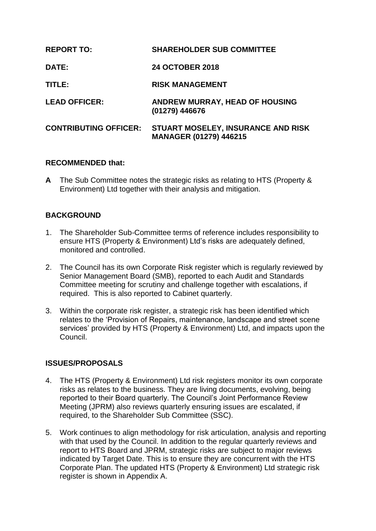| <b>REPORT TO:</b>            | <b>SHAREHOLDER SUB COMMITTEE</b>                             |
|------------------------------|--------------------------------------------------------------|
| <b>DATE:</b>                 | <b>24 OCTOBER 2018</b>                                       |
| TITLE:                       | <b>RISK MANAGEMENT</b>                                       |
| <b>LEAD OFFICER:</b>         | <b>ANDREW MURRAY, HEAD OF HOUSING</b><br>(01279) 446676      |
| <b>CONTRIBUTING OFFICER:</b> | STUART MOSELEY, INSURANCE AND RISK<br>MANAGER (01279) 446215 |

#### **RECOMMENDED that:**

**A** The Sub Committee notes the strategic risks as relating to HTS (Property & Environment) Ltd together with their analysis and mitigation.

#### **BACKGROUND**

- 1. The Shareholder Sub-Committee terms of reference includes responsibility to ensure HTS (Property & Environment) Ltd's risks are adequately defined, monitored and controlled.
- 2. The Council has its own Corporate Risk register which is regularly reviewed by Senior Management Board (SMB), reported to each Audit and Standards Committee meeting for scrutiny and challenge together with escalations, if required. This is also reported to Cabinet quarterly.
- 3. Within the corporate risk register, a strategic risk has been identified which relates to the 'Provision of Repairs, maintenance, landscape and street scene services' provided by HTS (Property & Environment) Ltd, and impacts upon the Council.

#### **ISSUES/PROPOSALS**

- 4. The HTS (Property & Environment) Ltd risk registers monitor its own corporate risks as relates to the business. They are living documents, evolving, being reported to their Board quarterly. The Council's Joint Performance Review Meeting (JPRM) also reviews quarterly ensuring issues are escalated, if required, to the Shareholder Sub Committee (SSC).
- 5. Work continues to align methodology for risk articulation, analysis and reporting with that used by the Council. In addition to the regular quarterly reviews and report to HTS Board and JPRM, strategic risks are subject to major reviews indicated by Target Date. This is to ensure they are concurrent with the HTS Corporate Plan. The updated HTS (Property & Environment) Ltd strategic risk register is shown in Appendix A.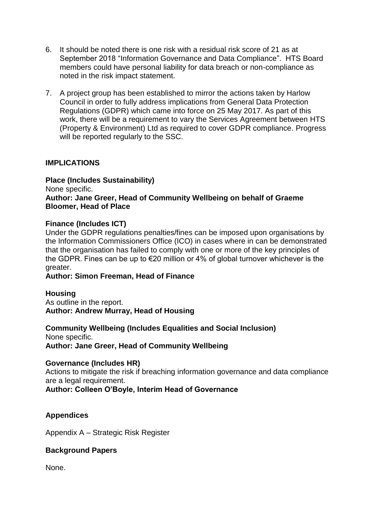- 6. It should be noted there is one risk with a residual risk score of 21 as at September 2018 "Information Governance and Data Compliance". HTS Board members could have personal liability for data breach or non-compliance as noted in the risk impact statement.
- 7. A project group has been established to mirror the actions taken by Harlow Council in order to fully address implications from General Data Protection Regulations (GDPR) which came into force on 25 May 2017. As part of this work, there will be a requirement to vary the Services Agreement between HTS (Property & Environment) Ltd as required to cover GDPR compliance. Progress will be reported regularly to the SSC.

#### **IMPLICATIONS**

### **Place (Includes Sustainability)** None specific. **Author: Jane Greer, Head of Community Wellbeing on behalf of Graeme**

## **Bloomer, Head of Place**

#### **Finance (Includes ICT)**

Under the GDPR regulations penalties/fines can be imposed upon organisations by the Information Commissioners Office (ICO) in cases where in can be demonstrated that the organisation has failed to comply with one or more of the key principles of the GDPR. Fines can be up to €20 million or 4% of global turnover whichever is the greater.

#### **Author: Simon Freeman, Head of Finance**

#### **Housing**

As outline in the report. **Author: Andrew Murray, Head of Housing**

# **Community Wellbeing (Includes Equalities and Social Inclusion)**

None specific. **Author: Jane Greer, Head of Community Wellbeing**

#### **Governance (Includes HR)**

Actions to mitigate the risk if breaching information governance and data compliance are a legal requirement.

**Author: Colleen O'Boyle, Interim Head of Governance**

#### **Appendices**

Appendix A – Strategic Risk Register

#### **Background Papers**

None.